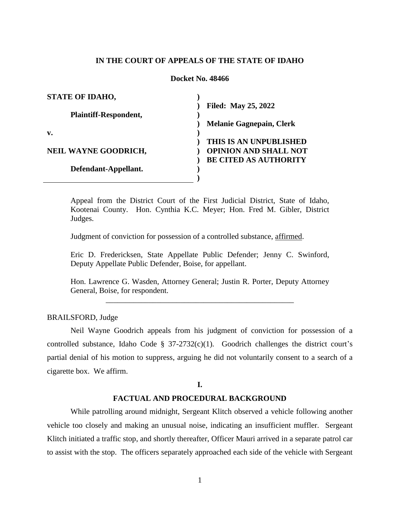### **IN THE COURT OF APPEALS OF THE STATE OF IDAHO**

### **Docket No. 48466**

| <b>STATE OF IDAHO,</b>       |                                 |
|------------------------------|---------------------------------|
|                              | <b>Filed: May 25, 2022</b>      |
| <b>Plaintiff-Respondent,</b> |                                 |
|                              | <b>Melanie Gagnepain, Clerk</b> |
| $\mathbf{v}$ .               |                                 |
|                              | THIS IS AN UNPUBLISHED          |
| <b>NEIL WAYNE GOODRICH,</b>  | <b>OPINION AND SHALL NOT</b>    |
|                              | <b>BE CITED AS AUTHORITY</b>    |
| Defendant-Appellant.         |                                 |
|                              |                                 |

Appeal from the District Court of the First Judicial District, State of Idaho, Kootenai County. Hon. Cynthia K.C. Meyer; Hon. Fred M. Gibler, District Judges.

Judgment of conviction for possession of a controlled substance, affirmed.

Eric D. Fredericksen, State Appellate Public Defender; Jenny C. Swinford, Deputy Appellate Public Defender, Boise, for appellant.

Hon. Lawrence G. Wasden, Attorney General; Justin R. Porter, Deputy Attorney General, Boise, for respondent. \_\_\_\_\_\_\_\_\_\_\_\_\_\_\_\_\_\_\_\_\_\_\_\_\_\_\_\_\_\_\_\_\_\_\_\_\_\_\_\_\_\_\_\_\_\_\_\_

### BRAILSFORD, Judge

Neil Wayne Goodrich appeals from his judgment of conviction for possession of a controlled substance, Idaho Code § 37-2732(c)(1). Goodrich challenges the district court's partial denial of his motion to suppress, arguing he did not voluntarily consent to a search of a cigarette box. We affirm.

### **I.**

## **FACTUAL AND PROCEDURAL BACKGROUND**

While patrolling around midnight, Sergeant Klitch observed a vehicle following another vehicle too closely and making an unusual noise, indicating an insufficient muffler. Sergeant Klitch initiated a traffic stop, and shortly thereafter, Officer Mauri arrived in a separate patrol car to assist with the stop. The officers separately approached each side of the vehicle with Sergeant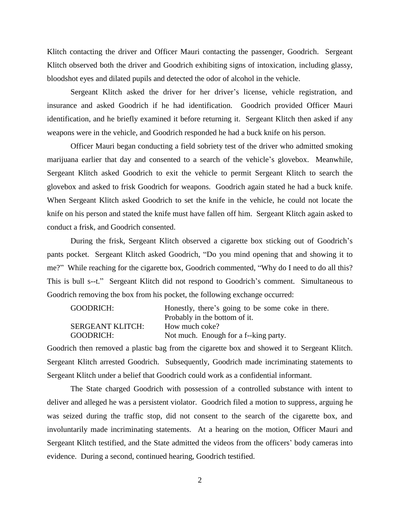Klitch contacting the driver and Officer Mauri contacting the passenger, Goodrich. Sergeant Klitch observed both the driver and Goodrich exhibiting signs of intoxication, including glassy, bloodshot eyes and dilated pupils and detected the odor of alcohol in the vehicle.

Sergeant Klitch asked the driver for her driver's license, vehicle registration, and insurance and asked Goodrich if he had identification. Goodrich provided Officer Mauri identification, and he briefly examined it before returning it. Sergeant Klitch then asked if any weapons were in the vehicle, and Goodrich responded he had a buck knife on his person.

Officer Mauri began conducting a field sobriety test of the driver who admitted smoking marijuana earlier that day and consented to a search of the vehicle's glovebox. Meanwhile, Sergeant Klitch asked Goodrich to exit the vehicle to permit Sergeant Klitch to search the glovebox and asked to frisk Goodrich for weapons. Goodrich again stated he had a buck knife. When Sergeant Klitch asked Goodrich to set the knife in the vehicle, he could not locate the knife on his person and stated the knife must have fallen off him. Sergeant Klitch again asked to conduct a frisk, and Goodrich consented.

During the frisk, Sergeant Klitch observed a cigarette box sticking out of Goodrich's pants pocket. Sergeant Klitch asked Goodrich, "Do you mind opening that and showing it to me?" While reaching for the cigarette box, Goodrich commented, "Why do I need to do all this? This is bull s--t." Sergeant Klitch did not respond to Goodrich's comment. Simultaneous to Goodrich removing the box from his pocket, the following exchange occurred:

| GOODRICH:               | Honestly, there's going to be some coke in there. |
|-------------------------|---------------------------------------------------|
|                         | Probably in the bottom of it.                     |
| <b>SERGEANT KLITCH:</b> | How much coke?                                    |
| GOODRICH:               | Not much. Enough for a f--king party.             |

Goodrich then removed a plastic bag from the cigarette box and showed it to Sergeant Klitch. Sergeant Klitch arrested Goodrich. Subsequently, Goodrich made incriminating statements to Sergeant Klitch under a belief that Goodrich could work as a confidential informant.

The State charged Goodrich with possession of a controlled substance with intent to deliver and alleged he was a persistent violator. Goodrich filed a motion to suppress, arguing he was seized during the traffic stop, did not consent to the search of the cigarette box, and involuntarily made incriminating statements. At a hearing on the motion, Officer Mauri and Sergeant Klitch testified, and the State admitted the videos from the officers' body cameras into evidence. During a second, continued hearing, Goodrich testified.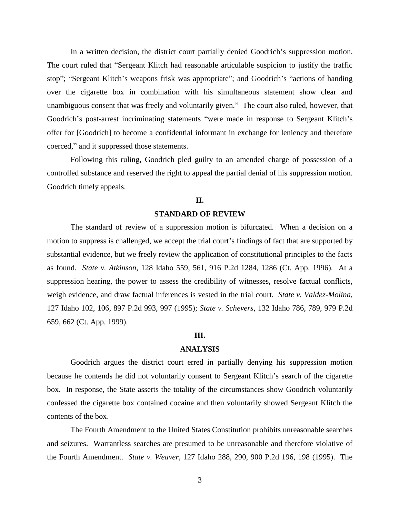In a written decision, the district court partially denied Goodrich's suppression motion. The court ruled that "Sergeant Klitch had reasonable articulable suspicion to justify the traffic stop"; "Sergeant Klitch's weapons frisk was appropriate"; and Goodrich's "actions of handing over the cigarette box in combination with his simultaneous statement show clear and unambiguous consent that was freely and voluntarily given." The court also ruled, however, that Goodrich's post-arrest incriminating statements "were made in response to Sergeant Klitch's offer for [Goodrich] to become a confidential informant in exchange for leniency and therefore coerced," and it suppressed those statements.

Following this ruling, Goodrich pled guilty to an amended charge of possession of a controlled substance and reserved the right to appeal the partial denial of his suppression motion. Goodrich timely appeals.

### **II.**

#### **STANDARD OF REVIEW**

The standard of review of a suppression motion is bifurcated. When a decision on a motion to suppress is challenged, we accept the trial court's findings of fact that are supported by substantial evidence, but we freely review the application of constitutional principles to the facts as found. *State v. Atkinson*, 128 Idaho 559, 561, 916 P.2d 1284, 1286 (Ct. App. 1996). At a suppression hearing, the power to assess the credibility of witnesses, resolve factual conflicts, weigh evidence, and draw factual inferences is vested in the trial court. *State v. Valdez-Molina*, 127 Idaho 102, 106, 897 P.2d 993, 997 (1995); *State v. Schevers*, 132 Idaho 786, 789, 979 P.2d 659, 662 (Ct. App. 1999).

### **III.**

### **ANALYSIS**

Goodrich argues the district court erred in partially denying his suppression motion because he contends he did not voluntarily consent to Sergeant Klitch's search of the cigarette box. In response, the State asserts the totality of the circumstances show Goodrich voluntarily confessed the cigarette box contained cocaine and then voluntarily showed Sergeant Klitch the contents of the box.

The Fourth Amendment to the United States Constitution prohibits unreasonable searches and seizures. Warrantless searches are presumed to be unreasonable and therefore violative of the Fourth Amendment. *State v. Weaver*, 127 Idaho 288, 290, 900 P.2d 196, 198 (1995). The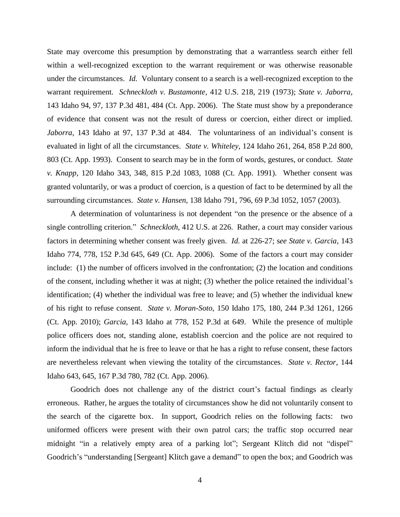State may overcome this presumption by demonstrating that a warrantless search either fell within a well-recognized exception to the warrant requirement or was otherwise reasonable under the circumstances. *Id.* Voluntary consent to a search is a well-recognized exception to the warrant requirement. *Schneckloth v. Bustamonte*, 412 U.S. 218, 219 (1973); *State v. Jaborra*, 143 Idaho 94, 97, 137 P.3d 481, 484 (Ct. App. 2006). The State must show by a preponderance of evidence that consent was not the result of duress or coercion, either direct or implied. *Jaborra*, 143 Idaho at 97, 137 P.3d at 484. The voluntariness of an individual's consent is evaluated in light of all the circumstances. *State v. Whiteley*, 124 Idaho 261, 264, 858 P.2d 800, 803 (Ct. App. 1993). Consent to search may be in the form of words, gestures, or conduct. *State v. Knapp*, 120 Idaho 343, 348, 815 P.2d 1083, 1088 (Ct. App. 1991). Whether consent was granted voluntarily, or was a product of coercion, is a question of fact to be determined by all the surrounding circumstances. *State v. Hansen*, 138 Idaho 791, 796, 69 P.3d 1052, 1057 (2003).

A determination of voluntariness is not dependent "on the presence or the absence of a single controlling criterion." *Schneckloth*, 412 U.S. at 226. Rather, a court may consider various factors in determining whether consent was freely given. *Id.* at 226-27; s*ee State v. Garcia*, 143 Idaho 774, 778, 152 P.3d 645, 649 (Ct. App. 2006). Some of the factors a court may consider include: (1) the number of officers involved in the confrontation; (2) the location and conditions of the consent, including whether it was at night; (3) whether the police retained the individual's identification; (4) whether the individual was free to leave; and (5) whether the individual knew of his right to refuse consent. *State v. Moran-Soto*, 150 Idaho 175, 180, 244 P.3d 1261, 1266 (Ct. App. 2010); *Garcia*, 143 Idaho at 778, 152 P.3d at 649. While the presence of multiple police officers does not, standing alone, establish coercion and the police are not required to inform the individual that he is free to leave or that he has a right to refuse consent, these factors are nevertheless relevant when viewing the totality of the circumstances. *State v. Rector*, 144 Idaho 643, 645, 167 P.3d 780, 782 (Ct. App. 2006).

Goodrich does not challenge any of the district court's factual findings as clearly erroneous. Rather, he argues the totality of circumstances show he did not voluntarily consent to the search of the cigarette box. In support, Goodrich relies on the following facts: two uniformed officers were present with their own patrol cars; the traffic stop occurred near midnight "in a relatively empty area of a parking lot"; Sergeant Klitch did not "dispel" Goodrich's "understanding [Sergeant] Klitch gave a demand" to open the box; and Goodrich was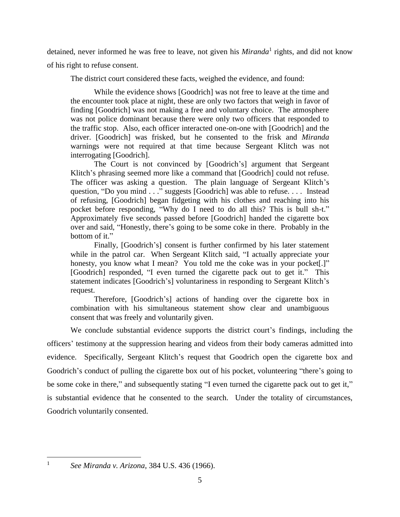detained, never informed he was free to leave, not given his *Miranda*<sup>1</sup> rights, and did not know of his right to refuse consent.

The district court considered these facts, weighed the evidence, and found:

While the evidence shows [Goodrich] was not free to leave at the time and the encounter took place at night, these are only two factors that weigh in favor of finding [Goodrich] was not making a free and voluntary choice. The atmosphere was not police dominant because there were only two officers that responded to the traffic stop. Also, each officer interacted one-on-one with [Goodrich] and the driver. [Goodrich] was frisked, but he consented to the frisk and *Miranda* warnings were not required at that time because Sergeant Klitch was not interrogating [Goodrich].

The Court is not convinced by [Goodrich's] argument that Sergeant Klitch's phrasing seemed more like a command that [Goodrich] could not refuse. The officer was asking a question. The plain language of Sergeant Klitch's question, "Do you mind . . ." suggests [Goodrich] was able to refuse. . . . Instead of refusing, [Goodrich] began fidgeting with his clothes and reaching into his pocket before responding, "Why do I need to do all this? This is bull sh-t." Approximately five seconds passed before [Goodrich] handed the cigarette box over and said, "Honestly, there's going to be some coke in there. Probably in the bottom of it."

Finally, [Goodrich's] consent is further confirmed by his later statement while in the patrol car. When Sergeant Klitch said, "I actually appreciate your honesty, you know what I mean? You told me the coke was in your pocket.]" [Goodrich] responded, "I even turned the cigarette pack out to get it." This statement indicates [Goodrich's] voluntariness in responding to Sergeant Klitch's request.

Therefore, [Goodrich's] actions of handing over the cigarette box in combination with his simultaneous statement show clear and unambiguous consent that was freely and voluntarily given.

We conclude substantial evidence supports the district court's findings, including the officers' testimony at the suppression hearing and videos from their body cameras admitted into evidence. Specifically, Sergeant Klitch's request that Goodrich open the cigarette box and Goodrich's conduct of pulling the cigarette box out of his pocket, volunteering "there's going to be some coke in there," and subsequently stating "I even turned the cigarette pack out to get it," is substantial evidence that he consented to the search. Under the totality of circumstances, Goodrich voluntarily consented.

 $\overline{a}$ 1

*See Miranda v. Arizona*, 384 U.S. 436 (1966).